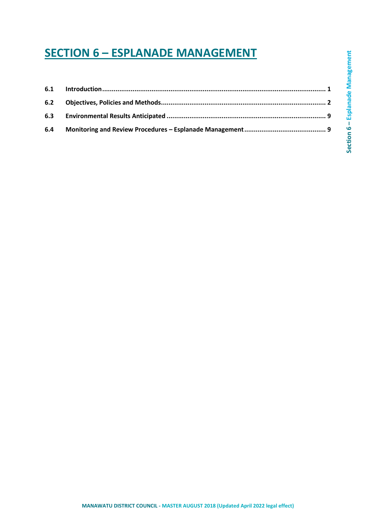# **SECTION 6 – ESPLANADE MANAGEMENT**

| 6.4 |  |
|-----|--|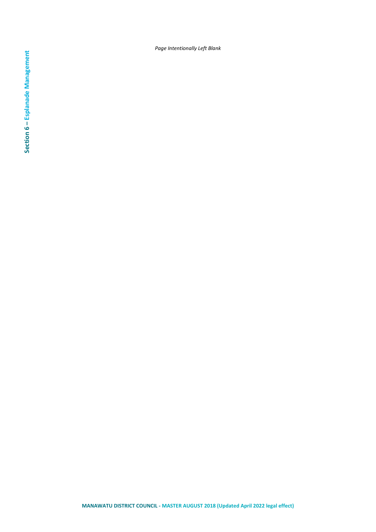*Page Intentionally Left Blank*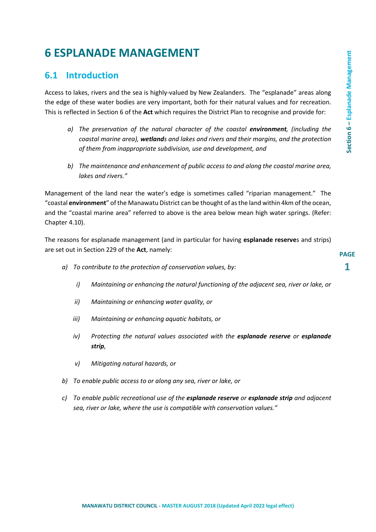# **6 ESPLANADE MANAGEMENT**

## <span id="page-4-0"></span>**6.1 Introduction**

Access to lakes, rivers and the sea is highly-valued by New Zealanders. The "esplanade" areas along the edge of these water bodies are very important, both for their natural values and for recreation. This is reflected in Section 6 of the **Act** which requires the District Plan to recognise and provide for:

- *a) The preservation of the natural character of the coastal environment, (including the coastal marine area), wetlands and lakes and rivers and their margins, and the protection of them from inappropriate subdivision, use and development, and*
- *b) The maintenance and enhancement of public access to and along the coastal marine area, lakes and rivers."*

Management of the land near the water's edge is sometimes called "riparian management." The "coastal **environment**" of the Manawatu District can be thought of as the land within 4km of the ocean, and the "coastal marine area" referred to above is the area below mean high water springs. (Refer: Chapter 4.10).

The reasons for esplanade management (and in particular for having **esplanade reserve**s and strips) are set out in Section 229 of the **Act**, namely:

- *a) To contribute to the protection of conservation values, by:*
	- *i) Maintaining or enhancing the natural functioning of the adjacent sea, river or lake, or*
	- *ii) Maintaining or enhancing water quality, or*
	- *iii) Maintaining or enhancing aquatic habitats, or*
	- *iv) Protecting the natural values associated with the esplanade reserve or esplanade strip,*
	- *v) Mitigating natural hazards, or*
- *b) To enable public access to or along any sea, river or lake, or*
- *c) To enable public recreational use of the esplanade reserve or esplanade strip and adjacent sea, river or lake, where the use is compatible with conservation values."*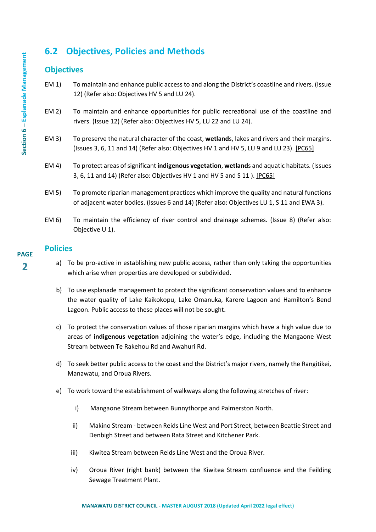# <span id="page-5-0"></span>**6.2 Objectives, Policies and Methods**

### **Objectives**

- EM 1) To maintain and enhance public access to and along the District's coastline and rivers. (Issue 12) (Refer also: Objectives HV 5 and LU 24).
- EM 2) To maintain and enhance opportunities for public recreational use of the coastline and rivers. (Issue 12) (Refer also: Objectives HV 5, LU 22 and LU 24).
- EM 3) To preserve the natural character of the coast, **wetland**s, lakes and rivers and their margins. (Issues 3, 6, 44-and 14) (Refer also: Objectives HV 1 and HV 5, LU 9 and LU 23). [PC65]
- EM 4) To protect areas of significant **indigenous vegetation**, **wetland**s and aquatic habitats. (Issues 3, 6, 11 and 14) (Refer also: Objectives HV 1 and HV 5 and S 11 ). [PC65]
- EM 5) To promote riparian management practices which improve the quality and natural functions of adjacent water bodies. (Issues 6 and 14) (Refer also: Objectives LU 1, S 11 and EWA 3).
- EM 6) To maintain the efficiency of river control and drainage schemes. (Issue 8) (Refer also: Objective U 1).

#### **Policies**

- a) To be pro-active in establishing new public access, rather than only taking the opportunities which arise when properties are developed or subdivided.
- b) To use esplanade management to protect the significant conservation values and to enhance the water quality of Lake Kaikokopu, Lake Omanuka, Karere Lagoon and Hamilton's Bend Lagoon. Public access to these places will not be sought.
- c) To protect the conservation values of those riparian margins which have a high value due to areas of **indigenous vegetation** adjoining the water's edge, including the Mangaone West Stream between Te Rakehou Rd and Awahuri Rd.
- d) To seek better public access to the coast and the District's major rivers, namely the Rangitikei, Manawatu, and Oroua Rivers.
- e) To work toward the establishment of walkways along the following stretches of river:
	- i) Mangaone Stream between Bunnythorpe and Palmerston North.
	- ii) Makino Stream between Reids Line West and Port Street, between Beattie Street and Denbigh Street and between Rata Street and Kitchener Park.
	- iii) Kiwitea Stream between Reids Line West and the Oroua River.
	- iv) Oroua River (right bank) between the Kiwitea Stream confluence and the Feilding Sewage Treatment Plant.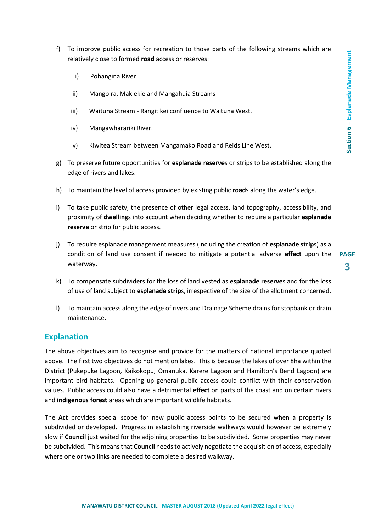- f) To improve public access for recreation to those parts of the following streams which are relatively close to formed **road** access or reserves:
	- i) Pohangina River
	- ii) Mangoira, Makiekie and Mangahuia Streams
	- iii) Waituna Stream Rangitikei confluence to Waituna West.
	- iv) Mangawharariki River.
	- v) Kiwitea Stream between Mangamako Road and Reids Line West.
- g) To preserve future opportunities for **esplanade reserve**s or strips to be established along the edge of rivers and lakes.
- h) To maintain the level of access provided by existing public **road**s along the water's edge.
- i) To take public safety, the presence of other legal access, land topography, accessibility, and proximity of **dwelling**s into account when deciding whether to require a particular **esplanade reserve** or strip for public access.
- j) To require esplanade management measures (including the creation of **esplanade strip**s) as a condition of land use consent if needed to mitigate a potential adverse **effect** upon the waterway.
- k) To compensate subdividers for the loss of land vested as **esplanade reserve**s and for the loss of use of land subject to **esplanade strip**s, irrespective of the size of the allotment concerned.
- l) To maintain access along the edge of rivers and Drainage Scheme drains for stopbank or drain maintenance.

#### **Explanation**

The above objectives aim to recognise and provide for the matters of national importance quoted above. The first two objectives do not mention lakes. This is because the lakes of over 8ha within the District (Pukepuke Lagoon, Kaikokopu, Omanuka, Karere Lagoon and Hamilton's Bend Lagoon) are important bird habitats. Opening up general public access could conflict with their conservation values. Public access could also have a detrimental **effect** on parts of the coast and on certain rivers and **indigenous forest** areas which are important wildlife habitats.

The **Act** provides special scope for new public access points to be secured when a property is subdivided or developed. Progress in establishing riverside walkways would however be extremely slow if **Council** just waited for the adjoining properties to be subdivided. Some properties may never be subdivided. This means that **Council** needs to actively negotiate the acquisition of access, especially where one or two links are needed to complete a desired walkway.

**MANAWATU DISTRICT COUNCIL - MASTER AUGUST 2018 (Updated April 2022 legal effect)**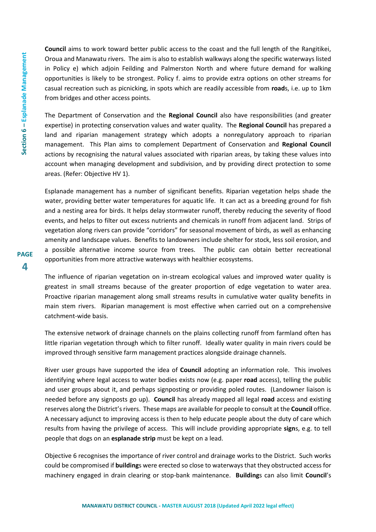**Council** aims to work toward better public access to the coast and the full length of the Rangitikei, Oroua and Manawatu rivers. The aim is also to establish walkways along the specific waterways listed in Policy e) which adjoin Feilding and Palmerston North and where future demand for walking opportunities is likely to be strongest. Policy f. aims to provide extra options on other streams for casual recreation such as picnicking, in spots which are readily accessible from **road**s, i.e. up to 1km from bridges and other access points.

The Department of Conservation and the **Regional Council** also have responsibilities (and greater expertise) in protecting conservation values and water quality. The **Regional Council** has prepared a land and riparian management strategy which adopts a nonregulatory approach to riparian management. This Plan aims to complement Department of Conservation and **Regional Council** actions by recognising the natural values associated with riparian areas, by taking these values into account when managing development and subdivision, and by providing direct protection to some areas. (Refer: Objective HV 1).

Esplanade management has a number of significant benefits. Riparian vegetation helps shade the water, providing better water temperatures for aquatic life. It can act as a breeding ground for fish and a nesting area for birds. It helps delay stormwater runoff, thereby reducing the severity of flood events, and helps to filter out excess nutrients and chemicals in runoff from adjacent land. Strips of vegetation along rivers can provide "corridors" for seasonal movement of birds, as well as enhancing amenity and landscape values. Benefits to landowners include shelter for stock, less soil erosion, and a possible alternative income source from trees. The public can obtain better recreational opportunities from more attractive waterways with healthier ecosystems.

The influence of riparian vegetation on in-stream ecological values and improved water quality is greatest in small streams because of the greater proportion of edge vegetation to water area. Proactive riparian management along small streams results in cumulative water quality benefits in main stem rivers. Riparian management is most effective when carried out on a comprehensive catchment-wide basis.

The extensive network of drainage channels on the plains collecting runoff from farmland often has little riparian vegetation through which to filter runoff. Ideally water quality in main rivers could be improved through sensitive farm management practices alongside drainage channels.

River user groups have supported the idea of **Council** adopting an information role. This involves identifying where legal access to water bodies exists now (e.g. paper **road** access), telling the public and user groups about it, and perhaps signposting or providing poled routes. (Landowner liaison is needed before any signposts go up). **Council** has already mapped all legal **road** access and existing reserves along the District's rivers. These maps are available for people to consult at the **Council** office. A necessary adjunct to improving access is then to help educate people about the duty of care which results from having the privilege of access. This will include providing appropriate **sign**s, e.g. to tell people that dogs on an **esplanade strip** must be kept on a lead.

Objective 6 recognises the importance of river control and drainage works to the District. Such works could be compromised if **building**s were erected so close to waterways that they obstructed access for machinery engaged in drain clearing or stop-bank maintenance. **Building**s can also limit **Council**'s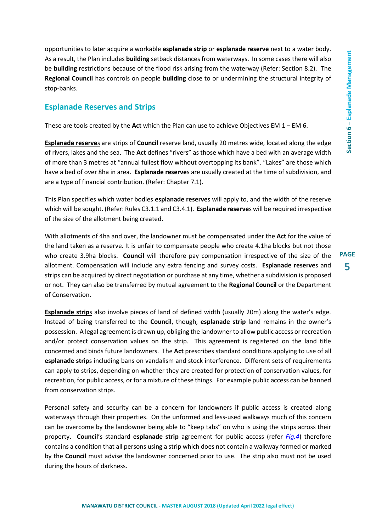opportunities to later acquire a workable **esplanade strip** or **esplanade reserve** next to a water body. As a result, the Plan includes **building** setback distances from waterways. In some cases there will also be **building** restrictions because of the flood risk arising from the waterway (Refer: Section 8.2). The **Regional Council** has controls on people **building** close to or undermining the structural integrity of stop-banks.

#### **Esplanade Reserves and Strips**

These are tools created by the **Act** which the Plan can use to achieve Objectives EM 1 – EM 6.

**Esplanade reserve**s are strips of **Council** reserve land, usually 20 metres wide, located along the edge of rivers, lakes and the sea. The **Act** defines "rivers" as those which have a bed with an average width of more than 3 metres at "annual fullest flow without overtopping its bank". "Lakes" are those which have a bed of over 8ha in area. **Esplanade reserve**s are usually created at the time of subdivision, and are a type of financial contribution. (Refer: Chapter 7.1).

This Plan specifies which water bodies **esplanade reserve**s will apply to, and the width of the reserve which will be sought. (Refer: Rules C3.1.1 and C3.4.1). **Esplanade reserve**s will be required irrespective of the size of the allotment being created.

With allotments of 4ha and over, the landowner must be compensated under the **Act** for the value of the land taken as a reserve. It is unfair to compensate people who create 4.1ha blocks but not those who create 3.9ha blocks. **Council** will therefore pay compensation irrespective of the size of the allotment. Compensation will include any extra fencing and survey costs. **Esplanade reserve**s and strips can be acquired by direct negotiation or purchase at any time, whether a subdivision is proposed or not. They can also be transferred by mutual agreement to the **Regional Council** or the Department of Conservation.

**Esplanade strip**s also involve pieces of land of defined width (usually 20m) along the water's edge. Instead of being transferred to the **Council**, though, **esplanade strip** land remains in the owner's possession. A legal agreement is drawn up, obliging the landowner to allow public access or recreation and/or protect conservation values on the strip. This agreement is registered on the land title concerned and binds future landowners. The **Act** prescribes standard conditions applying to use of all **esplanade strip**s including bans on vandalism and stock interference. Different sets of requirements can apply to strips, depending on whether they are created for protection of conservation values, for recreation, for public access, or for a mixture of these things. For example public access can be banned from conservation strips.

Personal safety and security can be a concern for landowners if public access is created along waterways through their properties. On the unformed and less-used walkways much of this concern can be overcome by the landowner being able to "keep tabs" on who is using the strips across their property. **Council**'s standard **esplanade strip** agreement for public access (refer *[Fig.4](#page-10-0)*) therefore contains a condition that all persons using a strip which does not contain a walkway formed or marked by the **Council** must advise the landowner concerned prior to use. The strip also must not be used during the hours of darkness.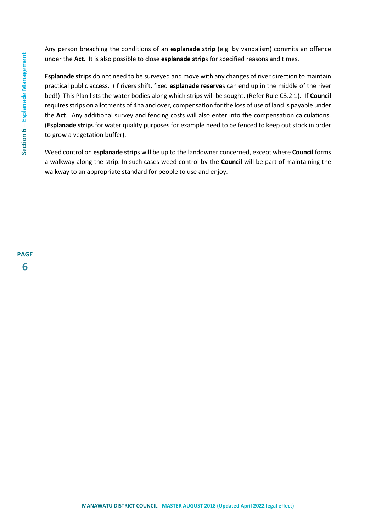Any person breaching the conditions of an **esplanade strip** (e.g. by vandalism) commits an offence under the **Act**. It is also possible to close **esplanade strip**s for specified reasons and times.

**Esplanade strip**s do not need to be surveyed and move with any changes of river direction to maintain practical public access. (If rivers shift, fixed **esplanade reserve**s can end up in the middle of the river bed!) This Plan lists the water bodies along which strips will be sought. (Refer Rule C3.2.1). If **Council** requires strips on allotments of 4ha and over, compensation for the loss of use of land is payable under the **Act**. Any additional survey and fencing costs will also enter into the compensation calculations. (**Esplanade strip**s for water quality purposes for example need to be fenced to keep out stock in order to grow a vegetation buffer).

Weed control on **esplanade strip**s will be up to the landowner concerned, except where **Council** forms a walkway along the strip. In such cases weed control by the **Council** will be part of maintaining the walkway to an appropriate standard for people to use and enjoy.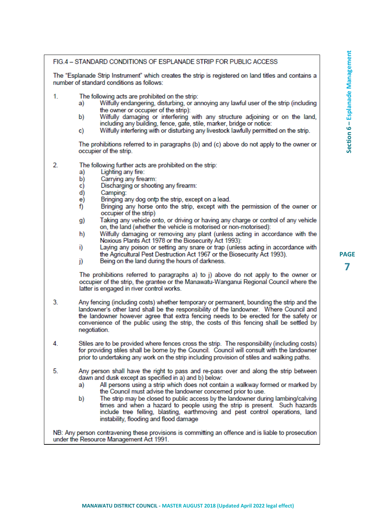#### <span id="page-10-0"></span>FIG.4 - STANDARD CONDITIONS OF ESPLANADE STRIP FOR PUBLIC ACCESS

The "Esplanade Strip Instrument" which creates the strip is registered on land titles and contains a number of standard conditions as follows:

- $\mathbf{1}$ The following acts are prohibited on the strip:
	- Wilfully endangering, disturbing, or annoving any lawful user of the strip (including a) the owner or occupier of the strip):
	- Wilfully damaging or interfering with any structure adjoining or on the land, including any building, fence, gate, stile, marker, bridge or notice:  $b)$
	- Wilfully interfering with or disturbing any livestock lawfully permitted on the strip.  $\mathbf{c}$

The prohibitions referred to in paragraphs (b) and (c) above do not apply to the owner or occupier of the strip.

- $\overline{2}$ The following further acts are prohibited on the strip:
	- Lighting any fire: a)
		- b) Carrving any firearm:
		- Discharging or shooting any firearm: c)
		- d) Camping:
		- Bringing any dog onto the strip, except on a lead.  $\epsilon$
		- $f$ ) Bringing any horse onto the strip, except with the permission of the owner or occupier of the strip)
		- Taking any vehicle onto, or driving or having any charge or control of any vehicle  $g)$ on, the land (whether the vehicle is motorised or non-motorised):
		- h) Wilfully damaging or removing any plant (unless acting in accordance with the Noxious Plants Act 1978 or the Biosecurity Act 1993):
		- Laying any poison or setting any snare or trap (unless acting in accordance with i) the Agricultural Pest Destruction Act 1967 or the Biosecurity Act 1993).
		- i) Being on the land during the hours of darkness.

The prohibitions referred to paragraphs a) to i) above do not apply to the owner or occupier of the strip, the grantee or the Manawatu-Wanganui Regional Council where the latter is engaged in river control works.

- 3 Any fencing (including costs) whether temporary or permanent, bounding the strip and the landowner's other land shall be the responsibility of the landowner. Where Council and the landowner however agree that extra fencing needs to be erected for the safety or convenience of the public using the strip, the costs of this fencing shall be settled by negotiation.
- Stiles are to be provided where fences cross the strip. The responsibility (including costs) 4. for providing stiles shall be borne by the Council. Council will consult with the landowner prior to undertaking any work on the strip including provision of stiles and walking paths.
- 5 Any person shall have the right to pass and re-pass over and along the strip between dawn and dusk except as specified in a) and b) below:
	- All persons using a strip which does not contain a walkway formed or marked by a) the Council must advise the landowner concerned prior to use.
	- The strip may be closed to public access by the landowner during lambing/calving b) times and when a hazard to people using the strip is present. Such hazards include tree felling, blasting, earthmoving and pest control operations, land instability, flooding and flood damage

NB: Any person contravening these provisions is committing an offence and is liable to prosecution under the Resource Management Act 1991.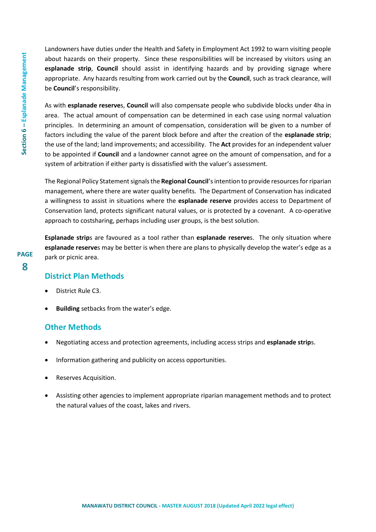**Section 6 - Esplanade Management – Esplanade Management** Landowners have duties under the Health and Safety in Employment Act 1992 to warn visiting people about hazards on their property. Since these responsibilities will be increased by visitors using an **esplanade strip**, **Council** should assist in identifying hazards and by providing signage where appropriate. Any hazards resulting from work carried out by the **Council**, such as track clearance, will be **Council**'s responsibility.

As with **esplanade reserve**s, **Council** will also compensate people who subdivide blocks under 4ha in area. The actual amount of compensation can be determined in each case using normal valuation principles. In determining an amount of compensation, consideration will be given to a number of factors including the value of the parent block before and after the creation of the **esplanade strip**; the use of the land; land improvements; and accessibility. The **Act** provides for an independent valuer to be appointed if **Council** and a landowner cannot agree on the amount of compensation, and for a system of arbitration if either party is dissatisfied with the valuer's assessment.

The Regional Policy Statement signals the **Regional Council**'s intention to provide resources for riparian management, where there are water quality benefits. The Department of Conservation has indicated a willingness to assist in situations where the **esplanade reserve** provides access to Department of Conservation land, protects significant natural values, or is protected by a covenant. A co-operative approach to costsharing, perhaps including user groups, is the best solution.

**Esplanade strip**s are favoured as a tool rather than **esplanade reserve**s. The only situation where **esplanade reserve**s may be better is when there are plans to physically develop the water's edge as a park or picnic area.

### **District Plan Methods**

- District Rule C3.
- **Building** setbacks from the water's edge.

#### **Other Methods**

- Negotiating access and protection agreements, including access strips and **esplanade strip**s.
- Information gathering and publicity on access opportunities.
- Reserves Acquisition.
- Assisting other agencies to implement appropriate riparian management methods and to protect the natural values of the coast, lakes and rivers.